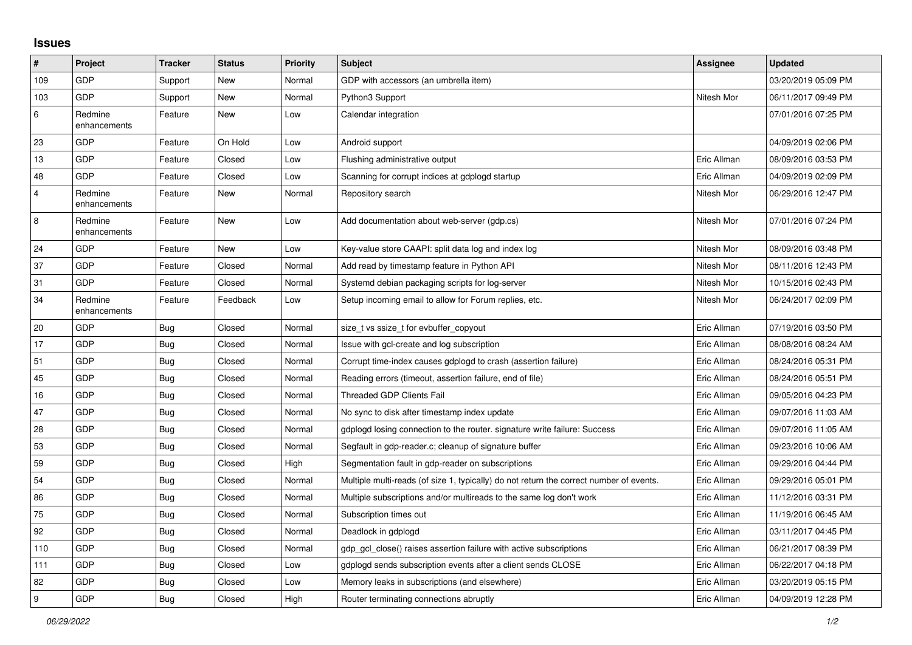## **Issues**

| #              | Project                 | <b>Tracker</b> | <b>Status</b> | <b>Priority</b> | <b>Subject</b>                                                                          | Assignee    | <b>Updated</b>      |
|----------------|-------------------------|----------------|---------------|-----------------|-----------------------------------------------------------------------------------------|-------------|---------------------|
| 109            | GDP                     | Support        | New           | Normal          | GDP with accessors (an umbrella item)                                                   |             | 03/20/2019 05:09 PM |
| 103            | GDP                     | Support        | New           | Normal          | Python3 Support                                                                         | Nitesh Mor  | 06/11/2017 09:49 PM |
| 6              | Redmine<br>enhancements | Feature        | New           | Low             | Calendar integration                                                                    |             | 07/01/2016 07:25 PM |
| 23             | GDP                     | Feature        | On Hold       | Low             | Android support                                                                         |             | 04/09/2019 02:06 PM |
| 13             | GDP                     | Feature        | Closed        | Low             | Flushing administrative output                                                          | Eric Allman | 08/09/2016 03:53 PM |
| 48             | GDP                     | Feature        | Closed        | Low             | Scanning for corrupt indices at gdplogd startup                                         | Eric Allman | 04/09/2019 02:09 PM |
| $\overline{4}$ | Redmine<br>enhancements | Feature        | New           | Normal          | Repository search                                                                       | Nitesh Mor  | 06/29/2016 12:47 PM |
| 8              | Redmine<br>enhancements | Feature        | New           | Low             | Add documentation about web-server (gdp.cs)                                             | Nitesh Mor  | 07/01/2016 07:24 PM |
| 24             | GDP                     | Feature        | New           | Low             | Key-value store CAAPI: split data log and index log                                     | Nitesh Mor  | 08/09/2016 03:48 PM |
| 37             | GDP                     | Feature        | Closed        | Normal          | Add read by timestamp feature in Python API                                             | Nitesh Mor  | 08/11/2016 12:43 PM |
| 31             | GDP                     | Feature        | Closed        | Normal          | Systemd debian packaging scripts for log-server                                         | Nitesh Mor  | 10/15/2016 02:43 PM |
| 34             | Redmine<br>enhancements | Feature        | Feedback      | Low             | Setup incoming email to allow for Forum replies, etc.                                   | Nitesh Mor  | 06/24/2017 02:09 PM |
| 20             | GDP                     | <b>Bug</b>     | Closed        | Normal          | size_t vs ssize_t for evbuffer_copyout                                                  | Eric Allman | 07/19/2016 03:50 PM |
| 17             | <b>GDP</b>              | Bug            | Closed        | Normal          | Issue with gcl-create and log subscription                                              | Eric Allman | 08/08/2016 08:24 AM |
| 51             | GDP                     | <b>Bug</b>     | Closed        | Normal          | Corrupt time-index causes gdplogd to crash (assertion failure)                          | Eric Allman | 08/24/2016 05:31 PM |
| 45             | GDP                     | <b>Bug</b>     | Closed        | Normal          | Reading errors (timeout, assertion failure, end of file)                                | Eric Allman | 08/24/2016 05:51 PM |
| 16             | GDP                     | Bug            | Closed        | Normal          | <b>Threaded GDP Clients Fail</b>                                                        | Eric Allman | 09/05/2016 04:23 PM |
| 47             | GDP                     | Bug            | Closed        | Normal          | No sync to disk after timestamp index update                                            | Eric Allman | 09/07/2016 11:03 AM |
| 28             | GDP                     | <b>Bug</b>     | Closed        | Normal          | gdplogd losing connection to the router. signature write failure: Success               | Eric Allman | 09/07/2016 11:05 AM |
| 53             | GDP                     | <b>Bug</b>     | Closed        | Normal          | Segfault in gdp-reader.c; cleanup of signature buffer                                   | Eric Allman | 09/23/2016 10:06 AM |
| 59             | <b>GDP</b>              | <b>Bug</b>     | Closed        | High            | Segmentation fault in gdp-reader on subscriptions                                       | Eric Allman | 09/29/2016 04:44 PM |
| 54             | GDP                     | <b>Bug</b>     | Closed        | Normal          | Multiple multi-reads (of size 1, typically) do not return the correct number of events. | Eric Allman | 09/29/2016 05:01 PM |
| 86             | GDP                     | Bug            | Closed        | Normal          | Multiple subscriptions and/or multireads to the same log don't work                     | Eric Allman | 11/12/2016 03:31 PM |
| 75             | GDP                     | <b>Bug</b>     | Closed        | Normal          | Subscription times out                                                                  | Eric Allman | 11/19/2016 06:45 AM |
| 92             | GDP                     | <b>Bug</b>     | Closed        | Normal          | Deadlock in gdplogd                                                                     | Eric Allman | 03/11/2017 04:45 PM |
| 110            | GDP                     | <b>Bug</b>     | Closed        | Normal          | gdp gcl close() raises assertion failure with active subscriptions                      | Eric Allman | 06/21/2017 08:39 PM |
| 111            | GDP                     | Bug            | Closed        | Low             | gdplogd sends subscription events after a client sends CLOSE                            | Eric Allman | 06/22/2017 04:18 PM |
| 82             | GDP                     | <b>Bug</b>     | Closed        | Low             | Memory leaks in subscriptions (and elsewhere)                                           | Eric Allman | 03/20/2019 05:15 PM |
| 9              | GDP                     | Bug            | Closed        | High            | Router terminating connections abruptly                                                 | Eric Allman | 04/09/2019 12:28 PM |